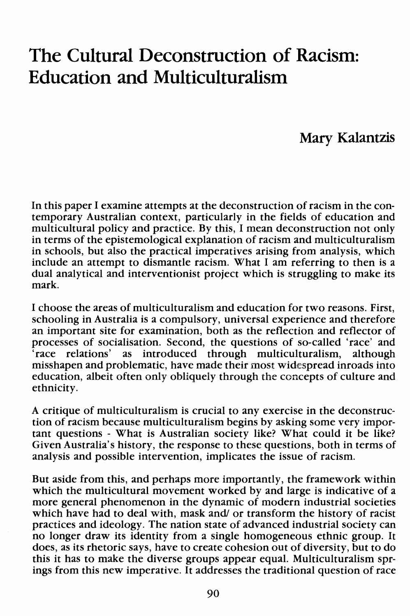## **The Cultural Deconstruction of Racism: Education and Multiculturalism**

## **Mary Kalantzis**

In this paper I examine attempts at the deconstruction of racism in the contemporary Australian context, particularly in the fields of education and multicultural policy and practice. By this, I mean deconstruction not only in terms of the epistemological explanation of racism and multiculturalism in schools, but also the practical imperatives arising from analysis, which include an attempt to dismantle racism. What I am referring to then is a dual analytical and interventionist project which is struggling to make its mark.

I choose the areas of multiculturalism and education for two reasons. First, schooling in Australia is a compulsory, universal experience and therefore an important site for examination, both as the reflection and reflector of processes of socialisation. Second, the questions of so-called 'race' and 'race relations' as introduced through multiculturalism, although misshapen and problematic, have made their most widespread inroads into education, albeit often only obliquely through the concepts of culture and ethnicity.

A critique of multiculturalism is crucial to any exercise in the deconstruction of racism because multiculturalism begins by asking some very important questions - What is Australian society like? What could it be like? Given Australia's history, the response to these questions, both in terms of analysis and possible intervention, implicates the issue of racism.

But aside from this, and perhaps more importantly, the framework within which the multicultural movement worked by and large is indicative of a more general phenomenon in the dynamic of modern industrial societies which have had to deal with, mask and/ or transform the history of racist practices and ideology. The nation state of advanced industrial society can no longer draw its identity from a single homogeneous ethnic group. It does, as its rhetoric says, have to create cohesion out of diversity, but to do this it has to make the diverse groups appear equal. Multiculturalism springs from this new imperative. It addresses the traditional question of race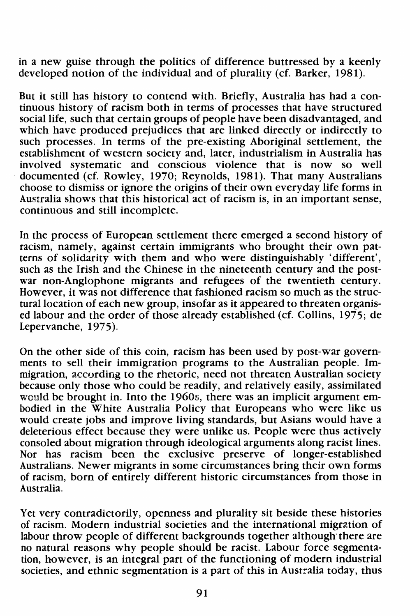in a new guise through the politics of difference buttressed by a keenly developed notion of the individual and of plurality (cf. Barker, 1981).

But it still has history to contend with. Briefly, Australia has had a continuous history of racism both in terms of processes that have structured social life, such that certain groups of people have been disadvantaged, and which have produced prejudices that are linked directly or indirectly to such processes. In terms of the pre-existing Aboriginal settlement, the establishment of western society and, later, industrialism in Australia has involved systematic and conscious violence that is now so well documented (cf. Rowley, 1970; Reynolds, 1981). That many Australians choose to dismiss or ignore the origins of their own everyday life forms in Australia shows that this historical act of racism is, in an important sense, continuous and still incomplete.

In the process of European settlement there emerged a second history of racism, namely, against certain immigrants who brought their own patterns of solidarity with them and who were distinguishably 'different', such as the Irish and the Chinese in the nineteenth century and the postwar non-Anglophone migrants and refugees of the twentieth century. However, it was not difference that fashioned racism so much as the structural location of each new group, insofar as it appeared to threaten organised labour and the order of those already established (cf. Collins, 1975; de Lepervanche, 1975).

On the other side of this coin, racism has been used by post-war governments to sell their immigration programs to the Australian people. Immigration, according to the rhetoric, need not threaten Australian society because only those who could be readily, and relatively easily, assimilated would be brought in. Into the 1960s, there was an implicit argument embodied in the White Australia Policy that Europeans who were like us would create jobs and improve living standards, but Asians would have a deleterious effect because they were unlike us. People were thus actively consoled about migration through ideological arguments along racist lines. Nor has racism been the exclusive preserve of longer-established Australians. Newer migrants in some circumstances bring their own forms of racism, born of entirely different historic circumstances from those in Australia.

Yet very contradictorily, openness and plurality sit beside these histories of racism. Modern industrial societies and the international migration of labour throw people of different backgrounds together although there are no natural reasons why people should be racist. Labour force segmentation, however, is an integral part of the functioning of modern industrial societies, and ethnic segmentation is a part of this in Australia today, thus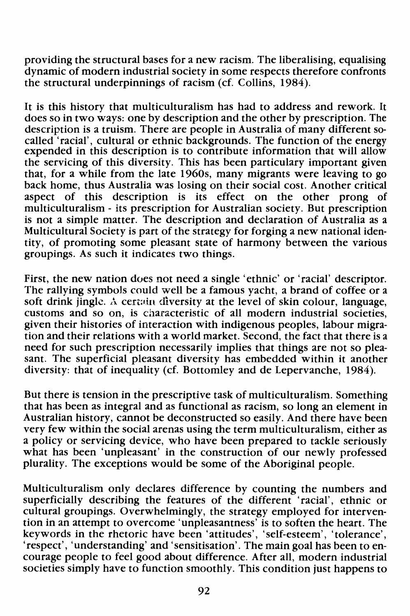providing the structural bases for a new racism. The liberalising, equalising dynamic of modern industrial society in some respects therefore confronts the structural underpinnings of racism (cf. Collins, 1984).

It is this history that multiculturalism has had to address and rework. It does so in two ways: one by description and the other by prescription. The description is a truism. There are people in Australia of many different socalled 'racial', cultural or ethnic backgrounds. The function of the energy expended in this description is to contribute information that will allow the servicing of this diversity. This has been particulary important given that, for a while from the late 1960s, many migrants were leaving to go back home, thus Australia was losing on their social cost. Another critical aspect of this description is its effect on the other prong of multiculturalism- its prescription for Australian society. But prescription is not a simple matter. The description and declaration of Australia as a Multicultural Society is part of the strategy for forging a new national identity, of promoting some pleasant state of harmony between the various groupings. As such it indicates two things.

First, the new nation does not need a single 'ethnic' or 'racial' descriptor. The rallying symbols could well be a famous yacht, a brand of coffee or a soft drink jingle. A certain diversity at the level of skin colour, language, customs and so on, is characteristic of all modern industrial societies, given their histories of interaction with indigenous peoples, labour migration and their relations with a world market. Second, the fact that there is a need for such prescription necessarily implies that things are not so pleasant. The superficial pleasant diversity has embedded within it another diversity: that of inequality (cf. Bottomley and de Lepervanche, 1984).

But there is tension in the prescriptive task of multiculturalism. Something that has been as integral and as functional as racism, so long an element in Australian history, cannot be deconstructed so easily. And there have been very few within the social arenas using the term multiculturalism, either as a policy or servicing device, who have been prepared to tackle seriously what has been 'unpleasant' in the construction of our newly professed plurality. The exceptions would be some of the Aboriginal people.

Multiculturalism only declares difference by counting the numbers and superficially describing the features of the different 'racial', ethnic or cultural groupings. Overwhelmingly, the strategy employed for intervention in an attempt to overcome 'unpleasantness' is to soften the heart. The keywords in the rhetoric have been 'attitudes', 'self-esteem', 'tolerance', 'respect', 'understanding' and 'sensitisation'. The main goal has been to encourage people to feel good about difference. After all, modern industrial societies simply have to function smoothly. This condition just happens to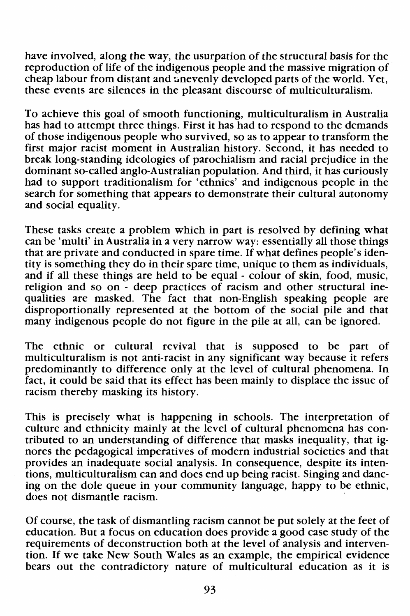have involved, along the way, the usurpation of the structural basis for the reproduction of life of the indigenous people and the massive migration of cheap labour from distant and unevenly developed parts of the world. Yet, these events are silences in the pleasant discourse of multiculturalism.

To achieve this goal of smooth functioning, multiculturalism in Australia has had to attempt three things. First it has had to respond to the demands of those indigenous people who survived, so as to appear to transform the first major racist moment in Australian history. Second, it has needed to break long-standing ideologies of parochialism and racial prejudice in the dominant so-called anglo-Australian population. And third, it has curiously had to support traditionalism for 'ethnics' and indigenous people in the search for something that appears to demonstrate their cultural autonomy and social equality.

These tasks create a problem which in part is resolved by defining what can be 'multi' in Australia in a very narrow way: essentially all those things that are private and conducted in spare time. If what defines people's identity is something they do in their spare time, unique to them as individuals, and if all these things are held to be equal - colour of skin, food, music, religion and so on - deep practices of racism and other structural inequalities are masked. The fact that non-English speaking people are disproportionally represented at the bottom of the social pile and that many indigenous people do not figure in the pile at all, can be ignored.

The ethnic or cultural revival that is supposed to be part of multiculturalism is not anti-racist in any significant way because it refers predominantly to difference only at the level of cultural phenomena. In fact, it could be said that its effect has been mainly to displace the issue of racism thereby masking its history.

This is precisely what is happening in schools. The interpretation of culture and ethnicity mainly at the level of cultural phenomena has contributed to an understanding of difference that masks inequality, that ignores the pedagogical imperatives of modern industrial societies and that provides an inadequate social analysis. In consequence, despite its intentions, multiculturalism can and does end up being racist. Singing and dancing on the dole queue in your community language, happy to be ethnic, does not dismantle racism. ·

Of course, the task of dismantling racism cannot be put solely at the feet of education. But a focus on education does provide a good case study of the requirements of deconstruction both at the level of analysis and intervention. If we take New South Wales as an example, the empirical evidence bears out the contradictory nature of multicultural education as it is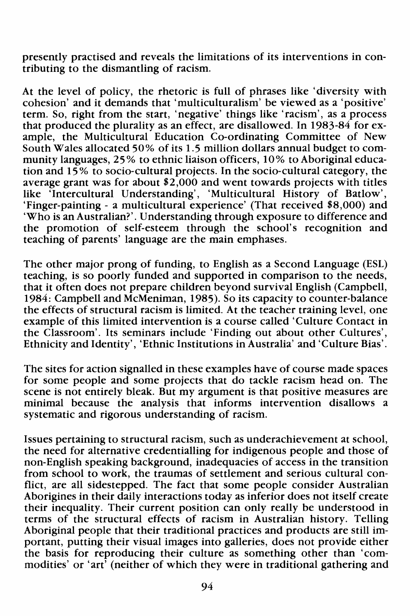presently practised and reveals the limitations of its interventions in contributing to the dismantling of racism.

At the level of policy, the rhetoric is full of phrases like 'diversity with cohesion' and it demands that 'multiculturalism' be viewed as a 'positive' term. So, right from the start, 'negative' things like 'racism', as a process that produced the plurality as an effect, are disallowed. In 1983-84 for example, the Multicultural Education Co-ordinating Committee of New South Wales allocated 50% of its 1. 5 million dollars annual budget to community languages, 25% to ethnic liaison officers, 10% to Aboriginal education and 15% to socio-cultural projects. In the socio-cultural category, the average grant was for about \$2,000 and went towards projects with titles like 'Intercultural Understanding', 'Multicultural History of Batlow', 'Finger-painting - a multicultural experience' (That received \$8,000) and 'Who is an Australian?'. Understanding through exposure to difference and the promotion of self-esteem through the school's recognition and teaching of parents' language are the main emphases.

The other major prong of funding, to English as a Second Language (ESL) teaching, is so poorly funded and supported in comparison to the needs, that it often does not prepare children beyond survival English (Campbell, 1984: Campbell and McMeniman, 1985). So its capacity to counter-balance the effects of structural racism is limited. At the teacher training level, one example of this limited intervention is a course called 'Culture Contact in the Classroom'. Its seminars include 'Finding out about other Cultures', Ethnicity and Identity', 'Ethnic Institutions in Australia' and 'Culture Bias'.

The sites for action signalled in these examples have of course made spaces for some people and some projects that do tackle racism head on. The scene is not entirely bleak. But my argument is that positive measures are minimal because the analysis that informs intervention disallows a systematic and rigorous understanding of racism.

Issues pertaining to structural racism, such as underachievement at school, the need for alternative credentialling for indigenous people and those of non-English speaking background, inadequacies of access in the transition from school to work, the traumas of settlement and serious cultural conflict, are all sidestepped. The fact that some people consider Australian Aborigines in their daily interactions today as inferior does not itself create their inequality. Their current position can only really be understood in terms of the structural effects of racism in Australian history. Telling Aboriginal people that their traditional practices and products are still important, putting their visual images into galleries, does not provide either the basis for reproducing their culture as something other than 'commodities' or 'art' (neither of which they were in traditional gathering and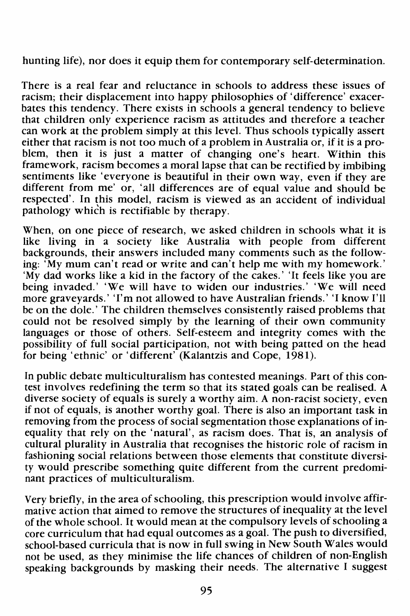hunting life), nor does it equip them for contemporary self-determination.

There is a real fear and reluctance in schools to address these issues of racism; their displacement into happy philosophies of 'difference' exacerbates this tendency. There exists in schools a general tendency to believe that children only experience racism as attitudes and therefore a teacher can work at the problem simply at this level. Thus schools typically assert either that racism is not too much of a problem in Australia or, if it is a problem, then it is just a matter of changing one's heart. Within this framework, racism becomes a moral lapse that can be rectified by imbibing sentiments like 'everyone is beautiful in their own way, even if they are different from me' or, 'all differences are of equal value and should be respected'. In this model, racism is viewed as an accident of individual pathology which is rectifiable by therapy.

When, on one piece of research, we asked children in schools what it is like living in a society like Australia with people from different backgrounds, their answers included many comments such as the following: 'My mum can't read or write and can't help me with my homework.' 'My dad works like a kid in the factory of the cakes.' 'It feels like you are being invaded.' 'We will have to widen our industries.' 'We will need more graveyards.' 'I'm not allowed to have Australian friends.' 'I know I'll be on the dole.' The children themselves consistently raised problems that could not be resolved simply by the learning of their own community languages or those of others. Self-esteem and integrity comes with the possibility of full social participation, not with being patted on the head for being 'ethnic' or 'different' (Kalantzis and Cope, 1981).

In public debate multiculturalism has contested meanings. Part of this contest involves redefining the term so that its stated goals can be realised. A diverse society of equals is surely a worthy aim. A non-racist society, even if not of equals, is another worthy goal. There is also an important task in removing from the process of social segmentation those explanations of inequality that rely on the 'natural', as racism does. That is, an analysis of cultural plurality in Australia that recognises the historic role of racism in fashioning social relations between those elements that constitute diversity would prescribe something quite different from the current predominant practices of multiculturalism.

Very briefly, in the area of schooling, this prescription would involve affirmative action that aimed to remove the structures of inequality at the level of the whole school. It would mean at the compulsory levels of schooling a core curriculum that had equal outcomes as a goal. The push to diversified, school-based curricula that is now in full swing in New South Wales would not be used, as they minimise the life chances of children of non-English speaking backgrounds by masking their needs. The alternative I suggest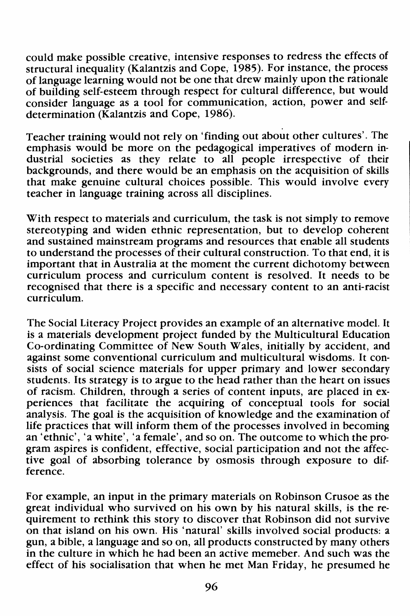could make possible creative, intensive responses to redress the effects of structural inequality (Kalantzis and Cope, 1985). For instance, the process of language learning would not be one that drew mainly upon the rationale of building self-esteem through respect for cultural difference, but would consider language as a tool for communication, action, power and selfdetermination (Kalantzis and Cope, 1986).

Teacher training would not rely on 'finding out about other cultures'. The emphasis would be more on the pedagogical imperatives of modern industrial societies as they relate to all people irrespective of their backgrounds, and there would be an emphasis on the acquisition of skills that make genuine cultural choices possible. This would involve every teacher in language training across all disciplines.

With respect to materials and curriculum, the task is not simply to remove stereotyping and widen ethnic representation, but to develop coherent and sustained mainstream programs and resources that enable all students to understand the processes of their cultural construction. To that end, it is important that in Australia at the moment the current dichotomy between curriculum process and curriculum content is resolved. It needs to be recognised that there is a specific and necessary content to an anti-racist curriculum.

The Social Literacy Project provides an example of an alternative model. It is a materials development project funded by the Multicultural Education Co-ordinating Committee of New South Wales, initially by accident, and against some conventional curriculum and multicultural wisdoms. It consists of social science materials for upper primary and lower secondary students. Its strategy is to argue to the head rather than the heart on issues of racism. Children, through a series of content inputs, are placed in experiences that facilitate the acquiring of conceptual tools for social analysis. The goal is the acquisition of knowledge and the examination of life practices that will inform them of the processes involved in becoming an 'ethnic', 'a white', 'a female', and so on. The outcome to which the program aspires is confident, effective, social participation and not the affective goal of absorbing tolerance by osmosis through exposure to difference.

For example, an input in the primary materials on Robinson Crusoe as the great individual who survived on his own by his natural skills, is the requirement to rethink this story to discover that Robinson did not survive on that island on his own. His 'natural' skills involved social products: a gun, a bible, a language and so on, all products constructed by many others in the culture in which he had been an active memeber. And such was the effect of his socialisation that when he met Man Friday, he presumed he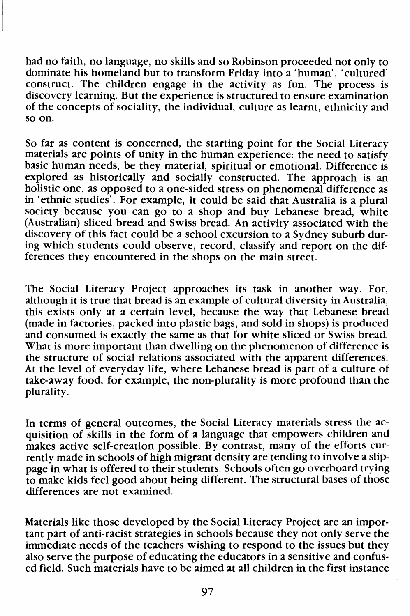had no faith, no language, no skills and so Robinson proceeded not only to dominate his homeland but to transform Friday into a 'human', 'cultured' construct. The children engage in the activity as fun. The process is discovery learning. But the experience is structured to ensure examination of the concepts of sociality, the individual, culture as learnt, ethnicity and so on.

So far as content is concerned, the starting point for the Social Literacy materials are points of unity in the human experience: the need to satisfy basic human needs, be they material, spiritual or emotional. Difference is explored as historically and socially constructed. The approach is an holistic one, as opposed to a one-sided stress on phenomenal difference as in 'ethnic studies'. For example, it could be said that Australia is a plural society because you can go to a shop and buy Lebanese bread, white (Australian) sliced bread and Swiss bread. An activity associated with the discovery of this fact could be a school excursion to a Sydney suburb during which students could observe, record, classify and report on the differences they encountered in the shops on the main street.

The Social Literacy Project approaches its task in another way. For, although it is true that bread is an example of cultural diversity in Australia, this exists only at a certain level, because the way that Lebanese bread (made in factories, packed into plastic bags, and sold in shops) is produced and consumed is exactly the same as that for white sliced or Swiss bread. What is more important than dwelling on the phenomenon of difference is the structure of social relations associated with the apparent differences. At the level of everyday life, where Lebanese bread is part of a culture of take-away food, for example, the non-plurality is more profound than the plurality.

In terms of general outcomes, the Social Literacy materials stress the acquisition of skills in the form of a language that empowers children and makes active self-creation possible. By contrast, many of the efforts currently made in schools of high migrant density are tending to involve a slippage in what is offered to their students. Schools often go overboard trying to make kids feel good about being different. The structural bases of those differences are not examined.

Materials like those developed by the Social Literacy Project are an important part of anti-racist strategies in schools because they not only serve the immediate needs of the teachers wishing to respond to the issues but they also serve the purpose of educating the educators in a sensitive and confused field. Such materials have to be aimed at all children in the first instance